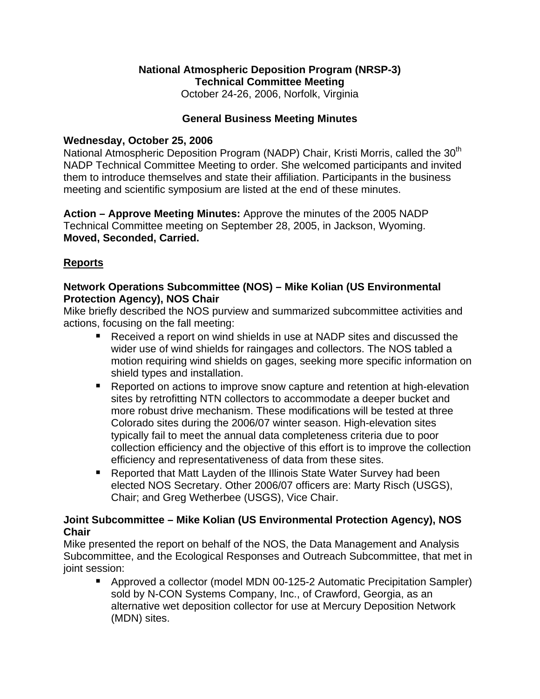# **National Atmospheric Deposition Program (NRSP-3) Technical Committee Meeting**

October 24-26, 2006, Norfolk, Virginia

### **General Business Meeting Minutes**

### **Wednesday, October 25, 2006**

National Atmospheric Deposition Program (NADP) Chair, Kristi Morris, called the 30<sup>th</sup> NADP Technical Committee Meeting to order. She welcomed participants and invited them to introduce themselves and state their affiliation. Participants in the business meeting and scientific symposium are listed at the end of these minutes.

**Action – Approve Meeting Minutes:** Approve the minutes of the 2005 NADP Technical Committee meeting on September 28, 2005, in Jackson, Wyoming. **Moved, Seconded, Carried.**

# **Reports**

### **Network Operations Subcommittee (NOS) – Mike Kolian (US Environmental Protection Agency), NOS Chair**

Mike briefly described the NOS purview and summarized subcommittee activities and actions, focusing on the fall meeting:

- Received a report on wind shields in use at NADP sites and discussed the wider use of wind shields for raingages and collectors. The NOS tabled a motion requiring wind shields on gages, seeking more specific information on shield types and installation.
- Reported on actions to improve snow capture and retention at high-elevation sites by retrofitting NTN collectors to accommodate a deeper bucket and more robust drive mechanism. These modifications will be tested at three Colorado sites during the 2006/07 winter season. High-elevation sites typically fail to meet the annual data completeness criteria due to poor collection efficiency and the objective of this effort is to improve the collection efficiency and representativeness of data from these sites.
- Reported that Matt Layden of the Illinois State Water Survey had been elected NOS Secretary. Other 2006/07 officers are: Marty Risch (USGS), Chair; and Greg Wetherbee (USGS), Vice Chair.

# **Joint Subcommittee – Mike Kolian (US Environmental Protection Agency), NOS Chair**

Mike presented the report on behalf of the NOS, the Data Management and Analysis Subcommittee, and the Ecological Responses and Outreach Subcommittee, that met in joint session:

 Approved a collector (model MDN 00-125-2 Automatic Precipitation Sampler) sold by N-CON Systems Company, Inc., of Crawford, Georgia, as an alternative wet deposition collector for use at Mercury Deposition Network (MDN) sites.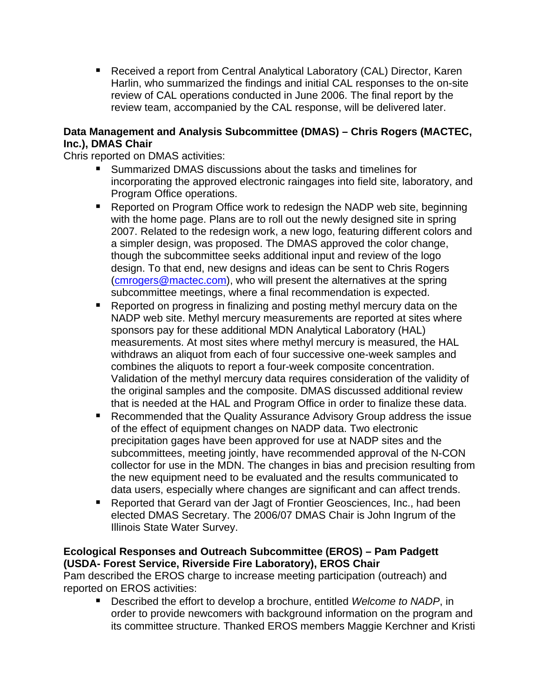■ Received a report from Central Analytical Laboratory (CAL) Director, Karen Harlin, who summarized the findings and initial CAL responses to the on-site review of CAL operations conducted in June 2006. The final report by the review team, accompanied by the CAL response, will be delivered later.

### **Data Management and Analysis Subcommittee (DMAS) – Chris Rogers (MACTEC, Inc.), DMAS Chair**

Chris reported on DMAS activities:

- Summarized DMAS discussions about the tasks and timelines for incorporating the approved electronic raingages into field site, laboratory, and Program Office operations.
- Reported on Program Office work to redesign the NADP web site, beginning with the home page. Plans are to roll out the newly designed site in spring 2007. Related to the redesign work, a new logo, featuring different colors and a simpler design, was proposed. The DMAS approved the color change, though the subcommittee seeks additional input and review of the logo design. To that end, new designs and ideas can be sent to Chris Rogers ([cmrogers@mactec.com\)](mailto:cmrogers@mactec.com), who will present the alternatives at the spring subcommittee meetings, where a final recommendation is expected.
- Reported on progress in finalizing and posting methyl mercury data on the NADP web site. Methyl mercury measurements are reported at sites where sponsors pay for these additional MDN Analytical Laboratory (HAL) measurements. At most sites where methyl mercury is measured, the HAL withdraws an aliquot from each of four successive one-week samples and combines the aliquots to report a four-week composite concentration. Validation of the methyl mercury data requires consideration of the validity of the original samples and the composite. DMAS discussed additional review that is needed at the HAL and Program Office in order to finalize these data.
- Recommended that the Quality Assurance Advisory Group address the issue of the effect of equipment changes on NADP data. Two electronic precipitation gages have been approved for use at NADP sites and the subcommittees, meeting jointly, have recommended approval of the N-CON collector for use in the MDN. The changes in bias and precision resulting from the new equipment need to be evaluated and the results communicated to data users, especially where changes are significant and can affect trends.
- Reported that Gerard van der Jagt of Frontier Geosciences, Inc., had been elected DMAS Secretary. The 2006/07 DMAS Chair is John Ingrum of the Illinois State Water Survey.

# **Ecological Responses and Outreach Subcommittee (EROS) – Pam Padgett (USDA- Forest Service, Riverside Fire Laboratory), EROS Chair**

Pam described the EROS charge to increase meeting participation (outreach) and reported on EROS activities:

■ Described the effort to develop a brochure, entitled *Welcome to NADP*, in order to provide newcomers with background information on the program and its committee structure. Thanked EROS members Maggie Kerchner and Kristi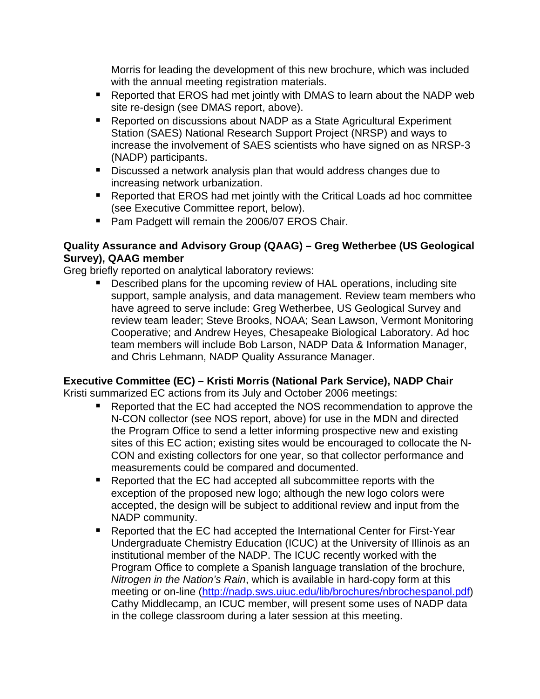Morris for leading the development of this new brochure, which was included with the annual meeting registration materials.

- Reported that EROS had met jointly with DMAS to learn about the NADP web site re-design (see DMAS report, above).
- Reported on discussions about NADP as a State Agricultural Experiment Station (SAES) National Research Support Project (NRSP) and ways to increase the involvement of SAES scientists who have signed on as NRSP-3 (NADP) participants.
- Discussed a network analysis plan that would address changes due to increasing network urbanization.
- Reported that EROS had met jointly with the Critical Loads ad hoc committee (see Executive Committee report, below).
- **Pam Padgett will remain the 2006/07 EROS Chair.**

# **Quality Assurance and Advisory Group (QAAG) – Greg Wetherbee (US Geological Survey), QAAG member**

Greg briefly reported on analytical laboratory reviews:

**Described plans for the upcoming review of HAL operations, including site** support, sample analysis, and data management. Review team members who have agreed to serve include: Greg Wetherbee, US Geological Survey and review team leader; Steve Brooks, NOAA; Sean Lawson, Vermont Monitoring Cooperative; and Andrew Heyes, Chesapeake Biological Laboratory. Ad hoc team members will include Bob Larson, NADP Data & Information Manager, and Chris Lehmann, NADP Quality Assurance Manager.

# **Executive Committee (EC) – Kristi Morris (National Park Service), NADP Chair**

Kristi summarized EC actions from its July and October 2006 meetings:

- Reported that the EC had accepted the NOS recommendation to approve the N-CON collector (see NOS report, above) for use in the MDN and directed the Program Office to send a letter informing prospective new and existing sites of this EC action; existing sites would be encouraged to collocate the N-CON and existing collectors for one year, so that collector performance and measurements could be compared and documented.
- Reported that the EC had accepted all subcommittee reports with the exception of the proposed new logo; although the new logo colors were accepted, the design will be subject to additional review and input from the NADP community.
- Reported that the EC had accepted the International Center for First-Year Undergraduate Chemistry Education (ICUC) at the University of Illinois as an institutional member of the NADP. The ICUC recently worked with the Program Office to complete a Spanish language translation of the brochure, *Nitrogen in the Nation's Rain*, which is available in hard-copy form at this meeting or on-line [\(http://nadp.sws.uiuc.edu/lib/brochures/nbrochespanol.pdf\)](http://nadp.sws.uiuc.edu/lib/brochures/nbrochespanol.pdf) Cathy Middlecamp, an ICUC member, will present some uses of NADP data in the college classroom during a later session at this meeting.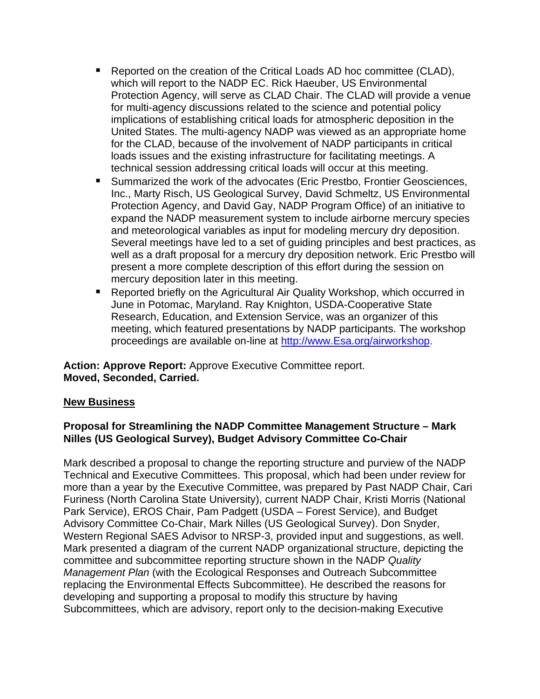- Reported on the creation of the Critical Loads AD hoc committee (CLAD), which will report to the NADP EC. Rick Haeuber, US Environmental Protection Agency, will serve as CLAD Chair. The CLAD will provide a venue for multi-agency discussions related to the science and potential policy implications of establishing critical loads for atmospheric deposition in the United States. The multi-agency NADP was viewed as an appropriate home for the CLAD, because of the involvement of NADP participants in critical loads issues and the existing infrastructure for facilitating meetings. A technical session addressing critical loads will occur at this meeting.
- Summarized the work of the advocates (Eric Prestbo, Frontier Geosciences, Inc., Marty Risch, US Geological Survey, David Schmeltz, US Environmental Protection Agency, and David Gay, NADP Program Office) of an initiative to expand the NADP measurement system to include airborne mercury species and meteorological variables as input for modeling mercury dry deposition. Several meetings have led to a set of guiding principles and best practices, as well as a draft proposal for a mercury dry deposition network. Eric Prestbo will present a more complete description of this effort during the session on mercury deposition later in this meeting.
- Reported briefly on the Agricultural Air Quality Workshop, which occurred in June in Potomac, Maryland. Ray Knighton, USDA-Cooperative State Research, Education, and Extension Service, was an organizer of this meeting, which featured presentations by NADP participants. The workshop proceedings are available on-line at [http://www.Esa.org/airworkshop.](http://www.esa.org/airworkshop)

**Action: Approve Report:** Approve Executive Committee report. **Moved, Seconded, Carried.**

### **New Business**

### **Proposal for Streamlining the NADP Committee Management Structure – Mark Nilles (US Geological Survey), Budget Advisory Committee Co-Chair**

Mark described a proposal to change the reporting structure and purview of the NADP Technical and Executive Committees. This proposal, which had been under review for more than a year by the Executive Committee, was prepared by Past NADP Chair, Cari Furiness (North Carolina State University), current NADP Chair, Kristi Morris (National Park Service), EROS Chair, Pam Padgett (USDA – Forest Service), and Budget Advisory Committee Co-Chair, Mark Nilles (US Geological Survey). Don Snyder, Western Regional SAES Advisor to NRSP-3, provided input and suggestions, as well. Mark presented a diagram of the current NADP organizational structure, depicting the committee and subcommittee reporting structure shown in the NADP *Quality Management Plan* (with the Ecological Responses and Outreach Subcommittee replacing the Environmental Effects Subcommittee). He described the reasons for developing and supporting a proposal to modify this structure by having Subcommittees, which are advisory, report only to the decision-making Executive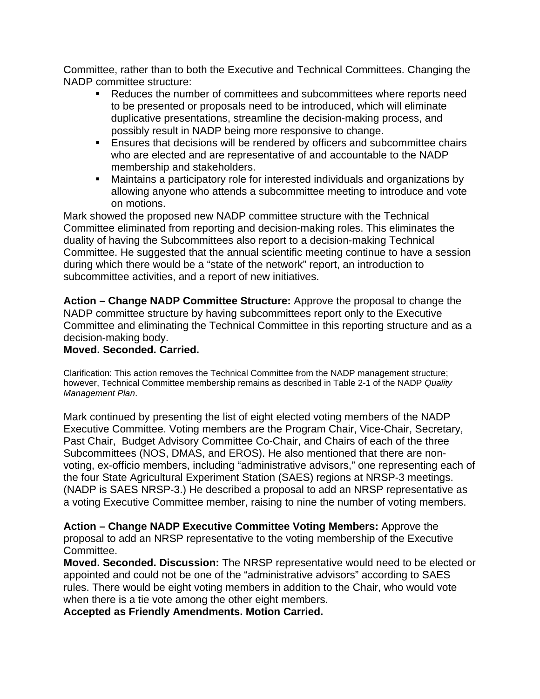Committee, rather than to both the Executive and Technical Committees. Changing the NADP committee structure:

- Reduces the number of committees and subcommittees where reports need to be presented or proposals need to be introduced, which will eliminate duplicative presentations, streamline the decision-making process, and possibly result in NADP being more responsive to change.
- **Ensures that decisions will be rendered by officers and subcommittee chairs** who are elected and are representative of and accountable to the NADP membership and stakeholders.
- Maintains a participatory role for interested individuals and organizations by allowing anyone who attends a subcommittee meeting to introduce and vote on motions.

Mark showed the proposed new NADP committee structure with the Technical Committee eliminated from reporting and decision-making roles. This eliminates the duality of having the Subcommittees also report to a decision-making Technical Committee. He suggested that the annual scientific meeting continue to have a session during which there would be a "state of the network" report, an introduction to subcommittee activities, and a report of new initiatives.

**Action – Change NADP Committee Structure:** Approve the proposal to change the NADP committee structure by having subcommittees report only to the Executive Committee and eliminating the Technical Committee in this reporting structure and as a decision-making body.

### **Moved. Seconded. Carried.**

Clarification: This action removes the Technical Committee from the NADP management structure; however, Technical Committee membership remains as described in Table 2-1 of the NADP *Quality Management Plan*.

Mark continued by presenting the list of eight elected voting members of the NADP Executive Committee. Voting members are the Program Chair, Vice-Chair, Secretary, Past Chair, Budget Advisory Committee Co-Chair, and Chairs of each of the three Subcommittees (NOS, DMAS, and EROS). He also mentioned that there are nonvoting, ex-officio members, including "administrative advisors," one representing each of the four State Agricultural Experiment Station (SAES) regions at NRSP-3 meetings. (NADP is SAES NRSP-3.) He described a proposal to add an NRSP representative as a voting Executive Committee member, raising to nine the number of voting members.

**Action – Change NADP Executive Committee Voting Members:** Approve the proposal to add an NRSP representative to the voting membership of the Executive Committee.

**Moved. Seconded. Discussion:** The NRSP representative would need to be elected or appointed and could not be one of the "administrative advisors" according to SAES rules. There would be eight voting members in addition to the Chair, who would vote when there is a tie vote among the other eight members.

**Accepted as Friendly Amendments. Motion Carried.**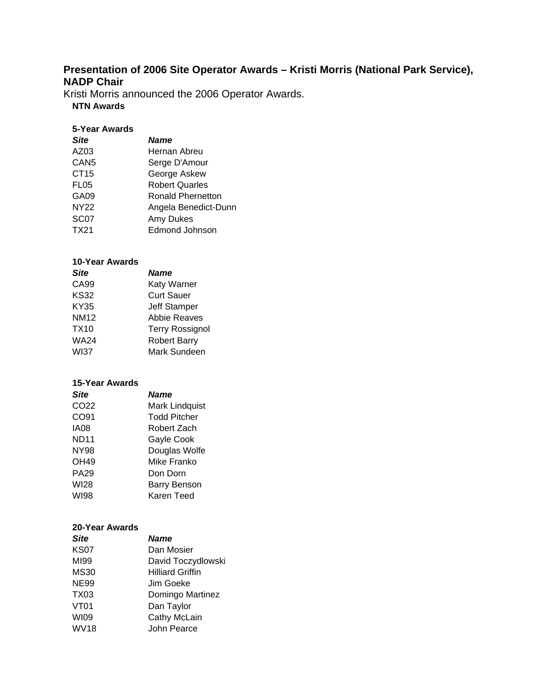# **Presentation of 2006 Site Operator Awards – Kristi Morris (National Park Service), NADP Chair**

Kristi Morris announced the 2006 Operator Awards.

#### **NTN Awards**

#### **5-Year Awards**

| <b>Site</b>      | <b>Name</b>              |
|------------------|--------------------------|
| AZ03             | Hernan Abreu             |
| CAN <sub>5</sub> | Serge D'Amour            |
| CT <sub>15</sub> | George Askew             |
| FL <sub>05</sub> | <b>Robert Quarles</b>    |
| GA09             | <b>Ronald Phernetton</b> |
| <b>NY22</b>      | Angela Benedict-Dunn     |
| SC <sub>07</sub> | Amy Dukes                |
| TX21             | <b>Edmond Johnson</b>    |

#### **10-Year Awards**

| <b>Site</b> | <b>Name</b>            |
|-------------|------------------------|
| CA99        | Katy Warner            |
| <b>KS32</b> | <b>Curt Sauer</b>      |
| KY35        | <b>Jeff Stamper</b>    |
| <b>NM12</b> | <b>Abbie Reaves</b>    |
| TX10        | <b>Terry Rossignol</b> |
| WA24        | <b>Robert Barry</b>    |
| <b>WI37</b> | Mark Sundeen           |

#### **15-Year Awards**

| <b>Site</b>      | <b>Name</b>         |
|------------------|---------------------|
| CO <sub>22</sub> | Mark Lindquist      |
| CO91             | <b>Todd Pitcher</b> |
| <b>IA08</b>      | Robert Zach         |
| <b>ND11</b>      | Gayle Cook          |
| <b>NY98</b>      | Douglas Wolfe       |
| OH49             | Mike Franko         |
| <b>PA29</b>      | Don Dorn            |
| <b>WI28</b>      | <b>Barry Benson</b> |
| <b>WI98</b>      | Karen Teed          |
|                  |                     |

#### **20-Year Awards**

| <b>Site</b>      | <b>Name</b>             |
|------------------|-------------------------|
| <b>KS07</b>      | Dan Mosier              |
| MI99             | David Toczydlowski      |
| <b>MS30</b>      | <b>Hilliard Griffin</b> |
| <b>NE99</b>      | Jim Goeke               |
| <b>TX03</b>      | Domingo Martinez        |
| VT <sub>01</sub> | Dan Taylor              |
| <b>WI09</b>      | Cathy McLain            |
| <b>WV18</b>      | John Pearce             |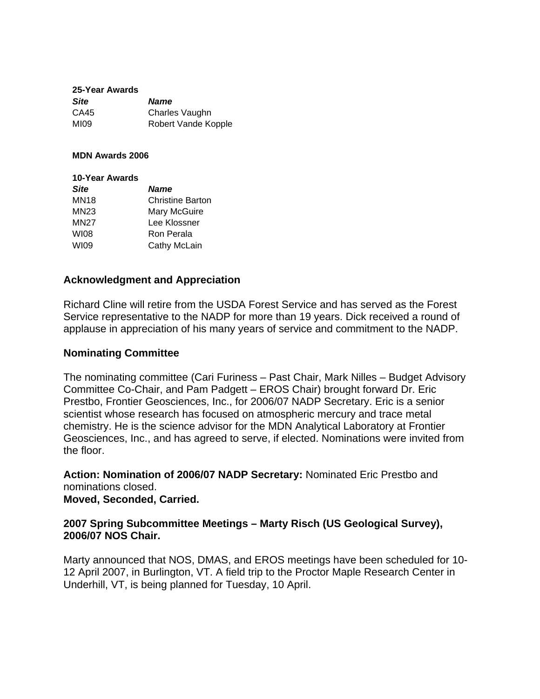#### **25-Year Awards**

| <b>Site</b> | <b>Name</b>         |
|-------------|---------------------|
| CA45        | Charles Vaughn      |
| MI09        | Robert Vande Kopple |

#### **MDN Awards 2006**

| 10-Year Awards |                         |
|----------------|-------------------------|
| <b>Site</b>    | <b>Name</b>             |
| MN18           | <b>Christine Barton</b> |
| MN23           | Mary McGuire            |
| <b>MN27</b>    | Lee Klossner            |
| WI08           | Ron Perala              |
| <b>WI09</b>    | Cathy McLain            |

### **Acknowledgment and Appreciation**

Richard Cline will retire from the USDA Forest Service and has served as the Forest Service representative to the NADP for more than 19 years. Dick received a round of applause in appreciation of his many years of service and commitment to the NADP.

#### **Nominating Committee**

The nominating committee (Cari Furiness – Past Chair, Mark Nilles – Budget Advisory Committee Co-Chair, and Pam Padgett – EROS Chair) brought forward Dr. Eric Prestbo, Frontier Geosciences, Inc., for 2006/07 NADP Secretary. Eric is a senior scientist whose research has focused on atmospheric mercury and trace metal chemistry. He is the science advisor for the MDN Analytical Laboratory at Frontier Geosciences, Inc., and has agreed to serve, if elected. Nominations were invited from the floor.

**Action: Nomination of 2006/07 NADP Secretary:** Nominated Eric Prestbo and nominations closed. **Moved, Seconded, Carried.**

### **2007 Spring Subcommittee Meetings – Marty Risch (US Geological Survey), 2006/07 NOS Chair.**

Marty announced that NOS, DMAS, and EROS meetings have been scheduled for 10- 12 April 2007, in Burlington, VT. A field trip to the Proctor Maple Research Center in Underhill, VT, is being planned for Tuesday, 10 April.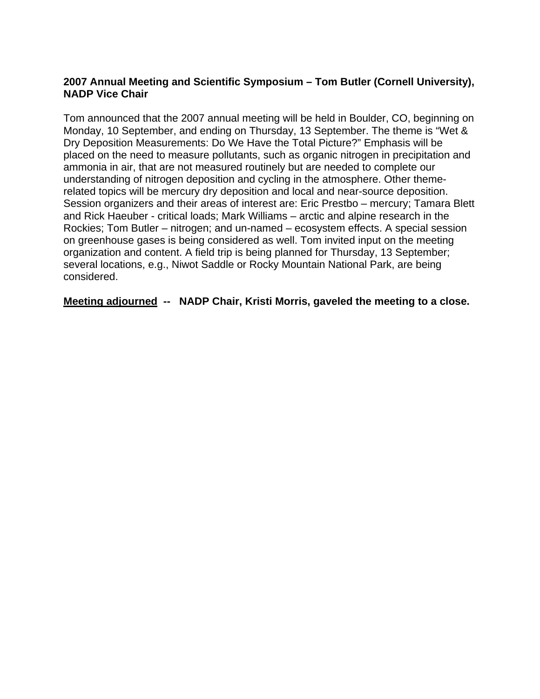### **2007 Annual Meeting and Scientific Symposium – Tom Butler (Cornell University), NADP Vice Chair**

Tom announced that the 2007 annual meeting will be held in Boulder, CO, beginning on Monday, 10 September, and ending on Thursday, 13 September. The theme is "Wet & Dry Deposition Measurements: Do We Have the Total Picture?" Emphasis will be placed on the need to measure pollutants, such as organic nitrogen in precipitation and ammonia in air, that are not measured routinely but are needed to complete our understanding of nitrogen deposition and cycling in the atmosphere. Other themerelated topics will be mercury dry deposition and local and near-source deposition. Session organizers and their areas of interest are: Eric Prestbo – mercury; Tamara Blett and Rick Haeuber - critical loads; Mark Williams – arctic and alpine research in the Rockies; Tom Butler – nitrogen; and un-named – ecosystem effects. A special session on greenhouse gases is being considered as well. Tom invited input on the meeting organization and content. A field trip is being planned for Thursday, 13 September; several locations, e.g., Niwot Saddle or Rocky Mountain National Park, are being considered.

**Meeting adjourned -- NADP Chair, Kristi Morris, gaveled the meeting to a close.**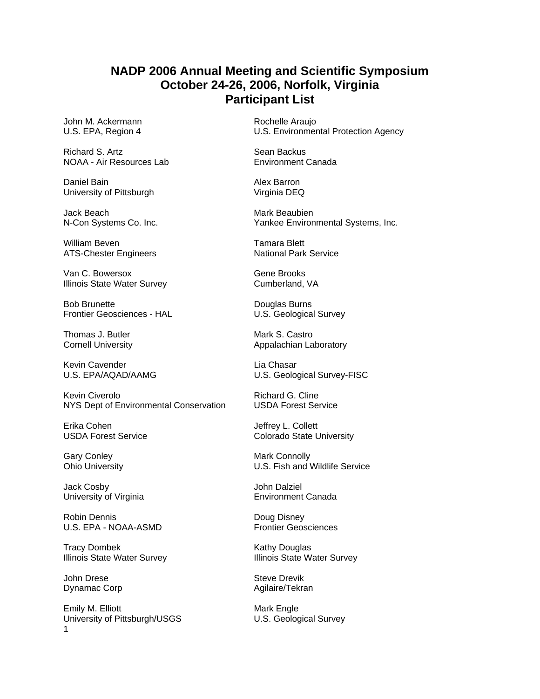# **NADP 2006 Annual Meeting and Scientific Symposium October 24-26, 2006, Norfolk, Virginia Participant List**

John M. Ackermann **Rochelle Araujo** 

Richard S. Artz<br>
NOAA - Air Resources Lab<br>
NOAA - Air Resources Lab<br>
Sean Backus Backus Canada NOAA - Air Resources Lab

Daniel Bain **Alex Barron** University of Pittsburgh Virginia DEQ

Jack Beach Mark Beaubien

William Beven<br>
ATS-Chester Engineers<br>
ATS-Chester Engineers

Tamara Blett<br>
National Park Service ATS-Chester Engineers

Van C. Bowersox Gene Brooks Illinois State Water Survey **Cumberland, VA** 

Bob Brunette<br>
Frontier Geosciences - HAL
D.S. Geologica

Thomas J. Butler Mark S. Castro

Kevin Cavender **Lia Chasar** 

Kevin Civerolo **Richard G. Cline** NYS Dept of Environmental Conservation USDA Forest Service

Erika Cohen **Deffrey L. Collett** 

Gary Conley **Mark Connolly** Mark Connolly

Jack Cosby John Dalziel

Robin Dennis **Doug Disney** U.S. EPA - NOAA-ASMD Frontier Geosciences

Tracy Dombek Kathy Douglas

John Drese Steve Drevik

Emily M. Elliott<br>
University of Pittsburgh/USGS<br>
U.S. Geological Survey University of Pittsburgh/USGS 1

U.S. EPA, Region 4 U.S. Environmental Protection Agency

N-Con Systems Co. Inc. The Systems Co. Inc. The Yankee Environmental Systems, Inc.

U.S. Geological Survey

Cornell University **Appalachian Laboratory** Appalachian Laboratory

U.S. EPA/AQAD/AAMG U.S. Geological Survey-FISC

USDA Forest Service **Colorado State University** 

Ohio University U.S. Fish and Wildlife Service

University of Virginia **Environment Canada** 

Illinois State Water Survey **Illinois State Water Survey** 

Dynamac Corp **Agilaire/Tekran**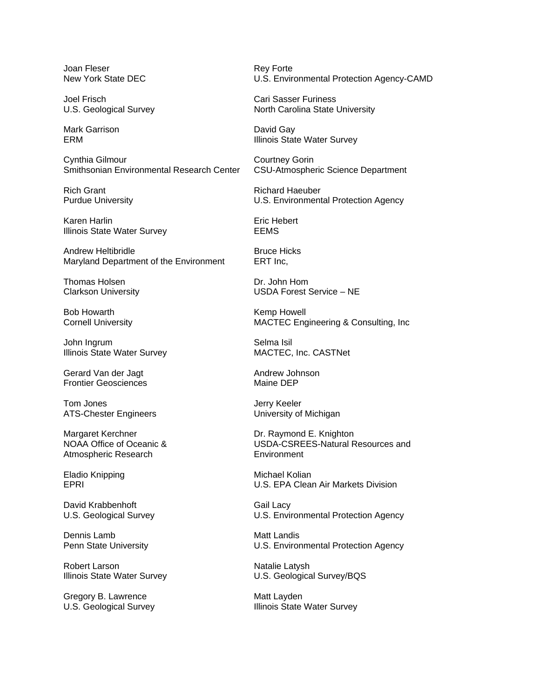Joan Fleser **Rey Forte** Rey Forte

Mark Garrison **David Gay** 

Cynthia Gilmour Courtney Gorin Smithsonian Environmental Research Center CSU-Atmospheric Science Department

Rich Grant **Richard Haeuber** Richard Haeuber

Karen Harlin **Eric Hebert** Illinois State Water Survey **EEMS** 

Andrew Heltibridle **Bruce Hicks** Maryland Department of the Environment ERT Inc,

Thomas Holsen **Dr. John Home** 

Bob Howarth **Kemp Howell** Bob Howarth

John Ingrum **Selma Isil** Illinois State Water Survey MACTEC, Inc. CASTNet

Gerard Van der Jagt Andrew Johnson Frontier Geosciences Maine DEP

Tom Jones **Jerry Keeler** ATS-Chester Engineers **Example 20** University of Michigan

Margaret Kerchner **Dr. Raymond E. Knighton** Atmospheric Research **Environment** 

Eladio Knipping Michael Kolian

David Krabbenhoft Gail Lacy

Dennis Lamb Matt Landis

Robert Larson Natalie Latysh

Gregory B. Lawrence Matt Layden<br>
U.S. Geological Survey Matt Layden<br>
Matt Layden

New York State DEC U.S. Environmental Protection Agency-CAMD

Joel Frisch Cari Sasser Furiness U.S. Geological Survey **North Carolina State University** 

ERM **Illinois State Water Survey** 

Purdue University U.S. Environmental Protection Agency

Clarkson University USDA Forest Service – NE

Cornell University **MACTEC** Engineering & Consulting, Inc

NOAA Office of Oceanic & USDA-CSREES-Natural Resources and

EPRI U.S. EPA Clean Air Markets Division

U.S. Geological Survey U.S. Environmental Protection Agency

Penn State University U.S. Environmental Protection Agency

Illinois State Water Survey **Example 20 State Water Survey** U.S. Geological Survey/BQS

Illinois State Water Survey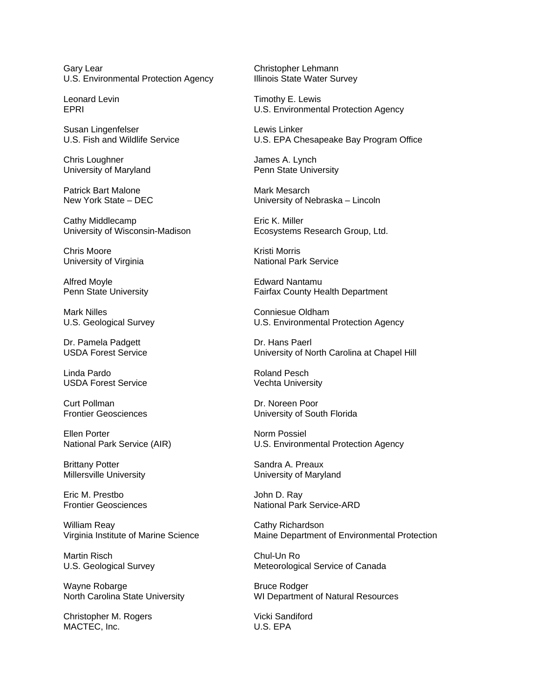Gary Lear Christopher Lehmann U.S. Environmental Protection Agency Illinois State Water Survey

Susan Lingenfelser Lewis Linker

Chris Loughner **Grades** Chris Loughner **James A. Lynch** University of Maryland **Penn State University** 

Patrick Bart Malone Mark Mesarch

Cathy Middlecamp **Example 20** Eric K. Miller

Chris Moore **Kristi Morris** Kristi Morris University of Virginia National Park Service

Alfred Moyle **Edward Nantamu** 

Mark Nilles **Conniesue** Oldham

Dr. Pamela Padgett Dr. Hans Paerl

Linda Pardo **Roland Pesch** USDA Forest Service Vechta University

**Curt Pollman** Dr. Noreen Poor

Ellen Porter Norm Possiel

Brittany Potter Sandra A. Preaux

Eric M. Prestbo John D. Ray

William Reay **Cathy Richardson** 

Martin Risch Chul-Un Ro

Wayne Robarge **Bruce Rodger**<br>
North Carolina State University **Bruce Rodger**<br>
WI Departmen

Christopher M. Rogers Vicki Sandiford MACTEC, Inc. 6. The MACTEC of the MACTEC of the MACTEC of the MACTEC of the MACTEC of the MACTEC of the MACTEC of the MACTEC of the MACTEC of the MACTEC of the MACTEC of the MACTEC of the MACTEC of the MACTEC of the MACTEC

Leonard Levin **Timothy E. Lewis** EPRI U.S. Environmental Protection Agency

U.S. Fish and Wildlife Service U.S. EPA Chesapeake Bay Program Office

New York State – DEC University of Nebraska – Lincoln

University of Wisconsin-Madison **Ecosystems Research Group, Ltd.** 

Penn State University **Fairfax County Health Department** 

U.S. Geological Survey **U.S. Environmental Protection Agency** 

USDA Forest Service **University of North Carolina at Chapel Hill** 

Frontier Geosciences University of South Florida

National Park Service (AIR) U.S. Environmental Protection Agency

Millersville University **Nillersville** University of Maryland

Frontier Geosciences **National Park Service-ARD** 

Virginia Institute of Marine Science Maine Department of Environmental Protection

U.S. Geological Survey **Meteorological Service of Canada** 

WI Department of Natural Resources